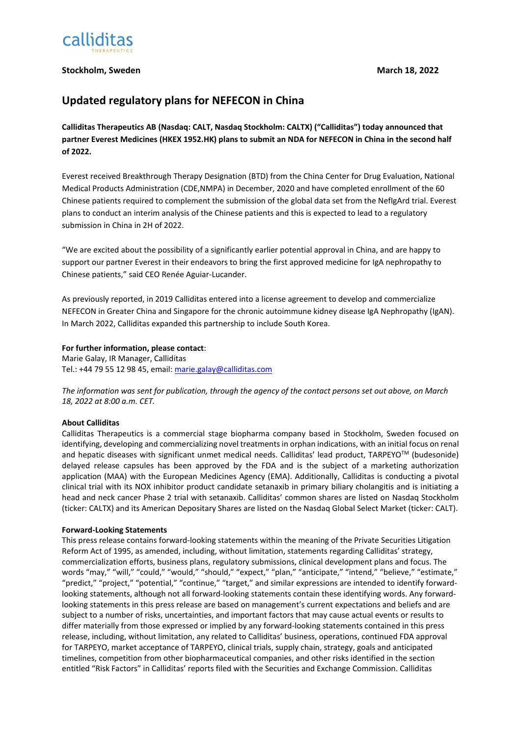

## **Stockholm, Sweden March 18, 2022**

# **Updated regulatory plans for NEFECON in China**

**Calliditas Therapeutics AB (Nasdaq: CALT, Nasdaq Stockholm: CALTX) ("Calliditas") today announced that partner Everest Medicines (HKEX 1952.HK) plans to submit an NDA for NEFECON in China in the second half of 2022.** 

Everest received Breakthrough Therapy Designation (BTD) from the China Center for Drug Evaluation, National Medical Products Administration (CDE,NMPA) in December, 2020 and have completed enrollment of the 60 Chinese patients required to complement the submission of the global data set from the NefIgArd trial. Everest plans to conduct an interim analysis of the Chinese patients and this is expected to lead to a regulatory submission in China in 2H of 2022.

"We are excited about the possibility of a significantly earlier potential approval in China, and are happy to support our partner Everest in their endeavors to bring the first approved medicine for IgA nephropathy to Chinese patients," said CEO Renée Aguiar-Lucander.

As previously reported, in 2019 Calliditas entered into a license agreement to develop and commercialize NEFECON in Greater China and Singapore for the chronic autoimmune kidney disease IgA Nephropathy (IgAN). In March 2022, Calliditas expanded this partnership to include South Korea.

### **For further information, please contact**:

Marie Galay, IR Manager, Calliditas Tel.: +44 79 55 12 98 45, email[: marie.galay@calliditas.com](mailto:marie.galay@calliditas.com)

*The information was sent for publication, through the agency of the contact persons set out above, on March 18, 2022 at 8:00 a.m. CET.*

### **About Calliditas**

Calliditas Therapeutics is a commercial stage biopharma company based in Stockholm, Sweden focused on identifying, developing and commercializing novel treatments in orphan indications, with an initial focus on renal and hepatic diseases with significant unmet medical needs. Calliditas' lead product, TARPEYO<sup>TM</sup> (budesonide) delayed release capsules has been approved by the FDA and is the subject of a marketing authorization application (MAA) with the European Medicines Agency (EMA). Additionally, Calliditas is conducting a pivotal clinical trial with its NOX inhibitor product candidate setanaxib in primary biliary cholangitis and is initiating a head and neck cancer Phase 2 trial with setanaxib. Calliditas' common shares are listed on Nasdaq Stockholm (ticker: CALTX) and its American Depositary Shares are listed on the Nasdaq Global Select Market (ticker: CALT).

### **Forward-Looking Statements**

This press release contains forward-looking statements within the meaning of the Private Securities Litigation Reform Act of 1995, as amended, including, without limitation, statements regarding Calliditas' strategy, commercialization efforts, business plans, regulatory submissions, clinical development plans and focus. The words "may," "will," "could," "would," "should," "expect," "plan," "anticipate," "intend," "believe," "estimate," "predict," "project," "potential," "continue," "target," and similar expressions are intended to identify forwardlooking statements, although not all forward-looking statements contain these identifying words. Any forwardlooking statements in this press release are based on management's current expectations and beliefs and are subject to a number of risks, uncertainties, and important factors that may cause actual events or results to differ materially from those expressed or implied by any forward-looking statements contained in this press release, including, without limitation, any related to Calliditas' business, operations, continued FDA approval for TARPEYO, market acceptance of TARPEYO, clinical trials, supply chain, strategy, goals and anticipated timelines, competition from other biopharmaceutical companies, and other risks identified in the section entitled "Risk Factors" in Calliditas' reports filed with the Securities and Exchange Commission. Calliditas